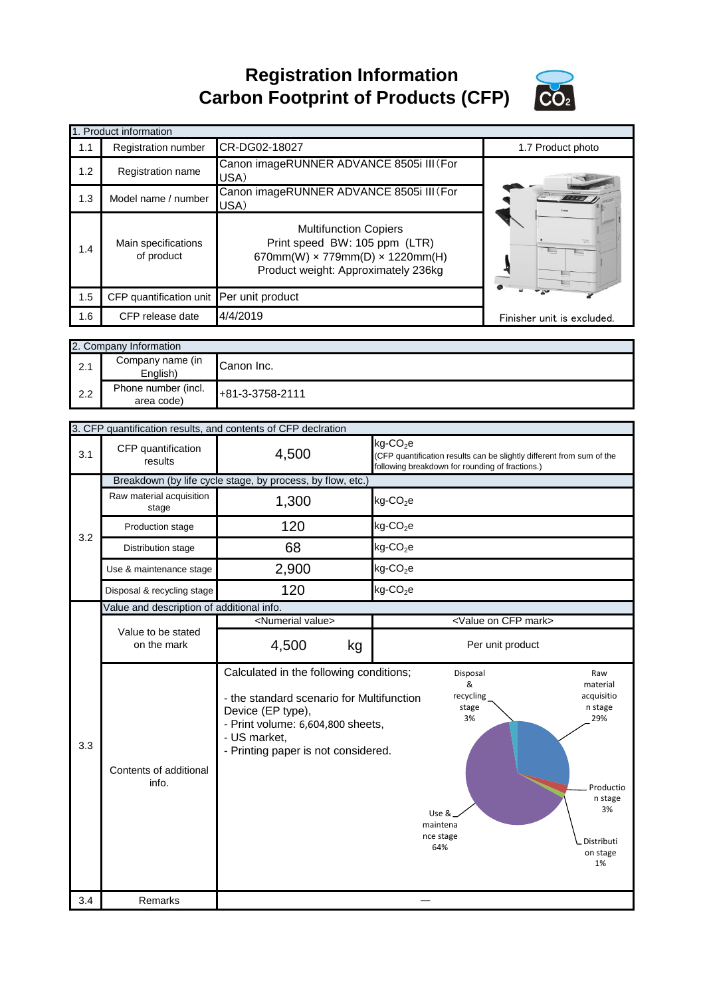**Registration Information Carbon Footprint of Products (CFP)**



|     | 1. Product information                     |                                                                                                                                                       |                            |
|-----|--------------------------------------------|-------------------------------------------------------------------------------------------------------------------------------------------------------|----------------------------|
| 1.1 | <b>Registration number</b>                 | CR-DG02-18027                                                                                                                                         | 1.7 Product photo          |
| 1.2 | Registration name                          | Canon imageRUNNER ADVANCE 8505i III (For<br>USA)                                                                                                      |                            |
| 1.3 | Model name / number                        | Canon imageRUNNER ADVANCE 8505i III (For<br>USA)                                                                                                      |                            |
| 1.4 | Main specifications<br>of product          | <b>Multifunction Copiers</b><br>Print speed BW: 105 ppm (LTR)<br>670mm(W) $\times$ 779mm(D) $\times$ 1220mm(H)<br>Product weight: Approximately 236kg | $\equiv$                   |
| 1.5 | CFP quantification unit Per unit product   |                                                                                                                                                       |                            |
| 1.6 | CFP release date                           | 4/4/2019                                                                                                                                              | Finisher unit is excluded. |
|     | 2. Company Information<br>Company namo (in |                                                                                                                                                       |                            |

| ____________<br>2.1 | Company name (in<br>$\in$ nalish' | Canon Inc.      |
|---------------------|-----------------------------------|-----------------|
| 2.2                 | Phone number (incl.<br>area code) | +81-3-3758-2111 |

|            | 3. CFP quantification results, and contents of CFP declration |                                                                                                           |                                                                                                                                                  |
|------------|---------------------------------------------------------------|-----------------------------------------------------------------------------------------------------------|--------------------------------------------------------------------------------------------------------------------------------------------------|
| 3.1        | CFP quantification<br>results                                 | 4,500                                                                                                     | kg-CO <sub>2</sub> e<br>(CFP quantification results can be slightly different from sum of the<br>following breakdown for rounding of fractions.) |
|            |                                                               | Breakdown (by life cycle stage, by process, by flow, etc.)                                                |                                                                                                                                                  |
|            | Raw material acquisition<br>stage                             | 1,300                                                                                                     | $kg$ -CO <sub>2</sub> e                                                                                                                          |
| 3.2        | Production stage                                              | 120                                                                                                       | $kg$ -CO <sub>2</sub> e                                                                                                                          |
|            | Distribution stage                                            | 68                                                                                                        | $kg$ -CO <sub>2</sub> e                                                                                                                          |
|            | Use & maintenance stage                                       | 2,900                                                                                                     | $kg$ -CO <sub>2</sub> e                                                                                                                          |
|            | Disposal & recycling stage                                    | 120                                                                                                       | $kg$ -CO <sub>2</sub> e                                                                                                                          |
|            | Value and description of additional info.                     |                                                                                                           |                                                                                                                                                  |
|            |                                                               | <numerial value=""></numerial>                                                                            | <value cfp="" mark="" on=""></value>                                                                                                             |
|            | Value to be stated<br>on the mark                             | 4,500<br>kg                                                                                               | Per unit product                                                                                                                                 |
|            |                                                               | Calculated in the following conditions;<br>- the standard scenario for Multifunction<br>Device (EP type), | Disposal<br>Raw<br>&<br>material<br>recycling<br>acquisitio<br>n stage<br>stage                                                                  |
| 3.3<br>3.4 | Contents of additional<br>info.<br>Remarks                    | - Print volume: 6,604,800 sheets,<br>- US market,<br>- Printing paper is not considered.                  | 3%<br>29%<br>Productio<br>n stage<br>3%<br>Use &<br>maintena<br>nce stage<br>Distributi<br>64%<br>on stage<br>1%                                 |